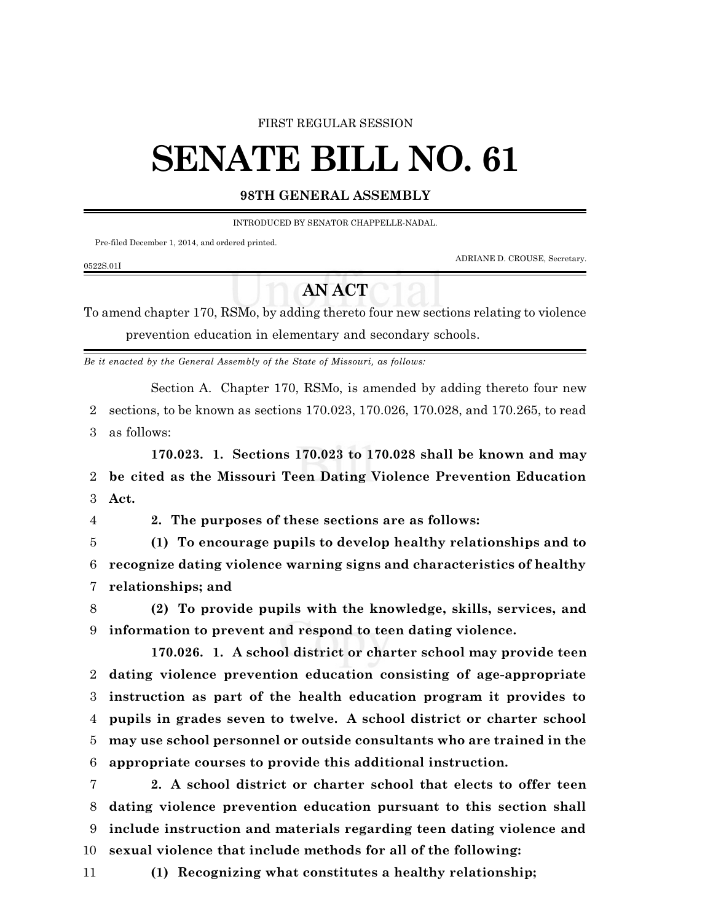## FIRST REGULAR SESSION

## **SENATE BILL NO. 61**

## **98TH GENERAL ASSEMBLY**

INTRODUCED BY SENATOR CHAPPELLE-NADAL.

Pre-filed December 1, 2014, and ordered printed.

0522S.01I

ADRIANE D. CROUSE, Secretary.

## **AN ACT**

To amend chapter 170, RSMo, by adding thereto four new sections relating to violence prevention education in elementary and secondary schools.

*Be it enacted by the General Assembly of the State of Missouri, as follows:*

Section A. Chapter 170, RSMo, is amended by adding thereto four new 2 sections, to be known as sections 170.023, 170.026, 170.028, and 170.265, to read 3 as follows:

**170.023. 1. Sections 170.023 to 170.028 shall be known and may** 2 **be cited as the Missouri Teen Dating Violence Prevention Education** 3 **Act.**

4 **2. The purposes of these sections are as follows:**

5 **(1) To encourage pupils to develop healthy relationships and to** 6 **recognize dating violence warning signs and characteristics of healthy** 7 **relationships; and**

8 **(2) To provide pupils with the knowledge, skills, services, and** 9 **information to prevent and respond to teen dating violence.**

**170.026. 1. A school district or charter school may provide teen dating violence prevention education consisting of age-appropriate instruction as part of the health education program it provides to pupils in grades seven to twelve. A school district or charter school may use school personnel or outside consultants who are trained in the appropriate courses to provide this additional instruction.**

 **2. A school district or charter school that elects to offer teen dating violence prevention education pursuant to this section shall include instruction and materials regarding teen dating violence and sexual violence that include methods for all of the following:**

11 **(1) Recognizing what constitutes a healthy relationship;**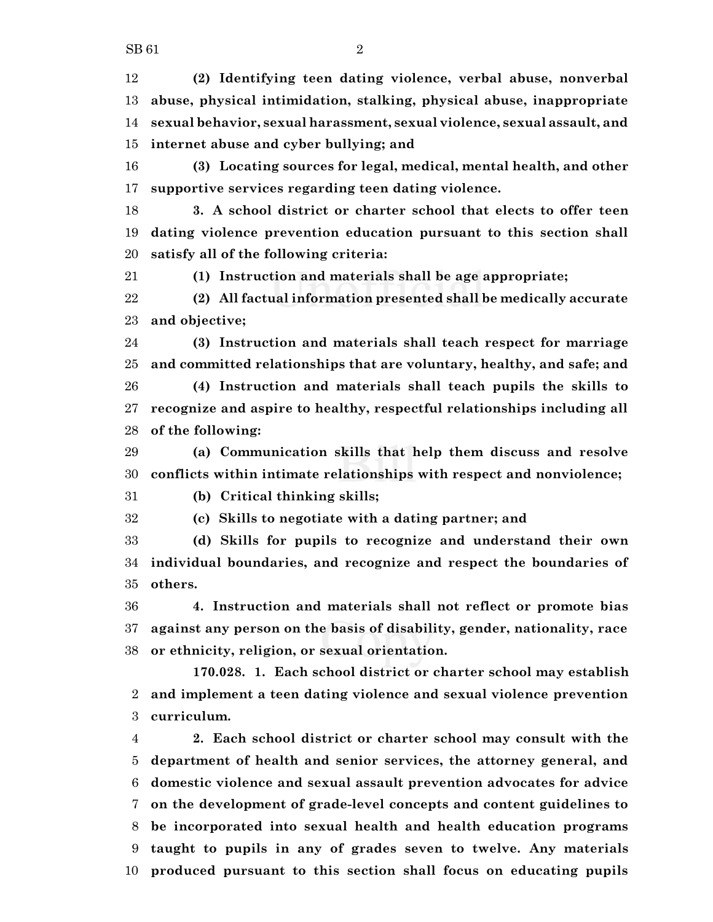**(2) Identifying teen dating violence, verbal abuse, nonverbal abuse, physical intimidation, stalking, physical abuse, inappropriate sexual behavior, sexual harassment, sexual violence, sexual assault, and internet abuse and cyber bullying; and**

 **(3) Locating sources for legal, medical, mental health, and other supportive services regarding teen dating violence.**

 **3. A school district or charter school that elects to offer teen dating violence prevention education pursuant to this section shall satisfy all of the following criteria:**

**(1) Instruction and materials shall be age appropriate;**

 **(2) All factual information presented shall be medically accurate and objective;**

 **(3) Instruction and materials shall teach respect for marriage and committed relationships that are voluntary, healthy, and safe; and**

 **(4) Instruction and materials shall teach pupils the skills to recognize and aspire to healthy, respectful relationships including all of the following:**

 **(a) Communication skills that help them discuss and resolve conflicts within intimate relationships with respect and nonviolence;**

**(b) Critical thinking skills;**

**(c) Skills to negotiate with a dating partner; and**

 **(d) Skills for pupils to recognize and understand their own individual boundaries, and recognize and respect the boundaries of others.**

 **4. Instruction and materials shall not reflect or promote bias against any person on the basis of disability, gender, nationality, race or ethnicity, religion, or sexual orientation.**

**170.028. 1. Each school district or charter school may establish and implement a teen dating violence and sexual violence prevention curriculum.**

 **2. Each school district or charter school may consult with the department of health and senior services, the attorney general, and domestic violence and sexual assault prevention advocates for advice on the development of grade-level concepts and content guidelines to be incorporated into sexual health and health education programs taught to pupils in any of grades seven to twelve. Any materials produced pursuant to this section shall focus on educating pupils**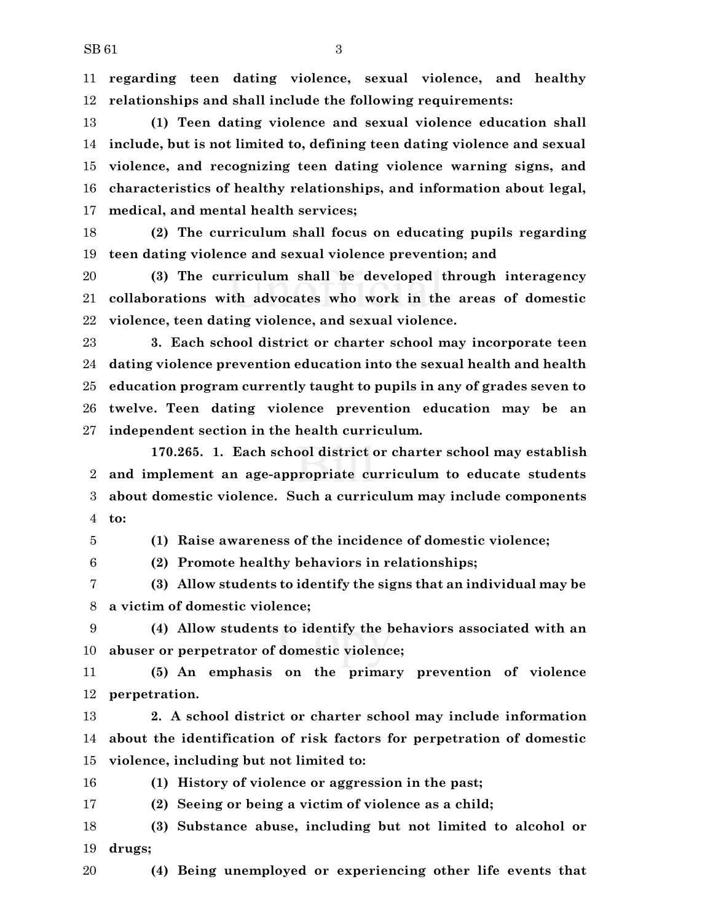**regarding teen dating violence, sexual violence, and healthy relationships and shall include the following requirements:**

 **(1) Teen dating violence and sexual violence education shall include, but is not limited to, defining teen dating violence and sexual violence, and recognizing teen dating violence warning signs, and characteristics of healthy relationships, and information about legal, medical, and mental health services;**

 **(2) The curriculum shall focus on educating pupils regarding teen dating violence and sexual violence prevention; and**

 **(3) The curriculum shall be developed through interagency collaborations with advocates who work in the areas of domestic violence, teen dating violence, and sexual violence.**

 **3. Each school district or charter school may incorporate teen dating violence prevention education into the sexual health and health education program currently taught to pupils in any of grades seven to twelve. Teen dating violence prevention education may be an independent section in the health curriculum.**

**170.265. 1. Each school district or charter school may establish and implement an age-appropriate curriculum to educate students about domestic violence. Such a curriculum may include components to:**

**(1) Raise awareness of the incidence of domestic violence;**

**(2) Promote healthy behaviors in relationships;**

 **(3) Allow students to identify the signs that an individual may be a victim of domestic violence;**

 **(4) Allow students to identify the behaviors associated with an abuser or perpetrator of domestic violence;**

 **(5) An emphasis on the primary prevention of violence perpetration.**

 **2. A school district or charter school may include information about the identification of risk factors for perpetration of domestic violence, including but not limited to:**

**(1) History of violence or aggression in the past;**

**(2) Seeing or being a victim of violence as a child;**

 **(3) Substance abuse, including but not limited to alcohol or drugs;**

**(4) Being unemployed or experiencing other life events that**